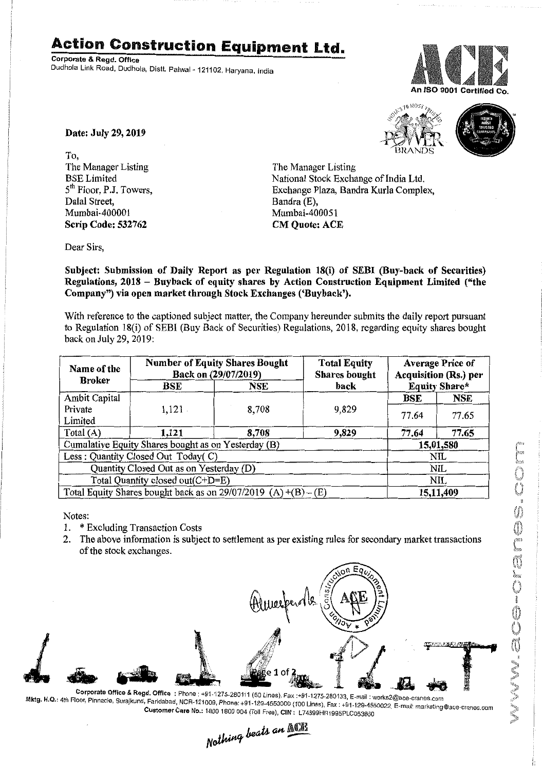## **Action Construction Equipment Ltd.**

Corporate & Regd. Office Dudhola Link Road, Dudhola, Distt. Palwal- *121102.* Haryana, India





Date: July 29, 2019

To, The Manager Listing BSE Limited 5<sup>th</sup> Floor, P.J. Towers, Dalal Street, Mumbai-40000I Scrip Code: 532762

The Manager Listing National Stock Exchange of India Ltd. Exchange Plaza, Bandra Kurla Complex, Bandra (E), Mumbai-400051 CM Quote: ACE

Dear Sirs,

Subject: Submission of Daily Report as per Regulation 18(i) of SEBI (Buy-back of Securities) Regulations, 2018 - Buyback of equity shares by Action Construction Equipment Limited ("the Company") via open market through Stock Exchanges ('Buyback').

With reference to the captioned subject matter, the Company hereunder submits the daily report pursuant to Regulation 18(i) of SEBI (Buy Back of Securities) Regulations, 2018, regarding equity shares bought back on July 29, 2019:

| Name of the                                                       | <b>Number of Equity Shares Bought</b><br>Back on (29/07/2019) |            | <b>Total Equity</b><br><b>Shares</b> bought | <b>Average Price of</b><br><b>Acquisition (Rs.) per</b> |            |  |
|-------------------------------------------------------------------|---------------------------------------------------------------|------------|---------------------------------------------|---------------------------------------------------------|------------|--|
| <b>Broker</b>                                                     | BSE                                                           | <b>NSE</b> | back                                        | <b>Equity Share*</b>                                    |            |  |
| Ambit Capital                                                     |                                                               |            |                                             | BSE                                                     | <b>NSE</b> |  |
| Private                                                           | $1,121$ .                                                     | 8,708      | 9,829                                       | 77.64                                                   | 77.65      |  |
| Limited                                                           |                                                               |            |                                             |                                                         |            |  |
| Total (A)                                                         | 1,121                                                         | 8,708      | 9,829                                       | 77.64                                                   | 77.65      |  |
| Cumulative Equity Shares bought as on Yesterday (B)               |                                                               |            |                                             |                                                         | 15,01,580  |  |
| Less: Quantity Closed Out Today(C)                                |                                                               |            |                                             | NIL                                                     |            |  |
| Quantity Closed Out as on Yesterday (D)                           |                                                               |            |                                             | <b>NIL</b>                                              |            |  |
| Total Quantity closed out(C+D=E)                                  |                                                               |            |                                             | NIL                                                     |            |  |
| Total Equity Shares bought back as on $29/07/2019$ (A) +(B) - (E) |                                                               |            |                                             | 15,11,409                                               |            |  |

Notes:

- 1. \* Excluding Transaction Costs
- 2. The above information is subject to settlement as per existing rules for secondary market transactions of the stock exchanges.



Corporate Office & Regd. Office : Phone : +91-1275-280111 (50 Lines), Fax : +91-1275-280133, E-mail : works2@ace-cranes.com ociputate onto a Regul Office: Friorie: +91-1275-280111 (50 Lines), Fax :+91-1275-280133, E-mail : works2@ace-cranes.com<br>Mktg. H.Q.: 4th Floor, Pinnacle, Surajkund, Faridabad, NCR-121009, Phone: +91-129-155002, E-mail: m Customer Care No.: 1800 1800 004 (Toll Free), CIN : L74899HR1995PLC053860

Nothing beats an **NOB**